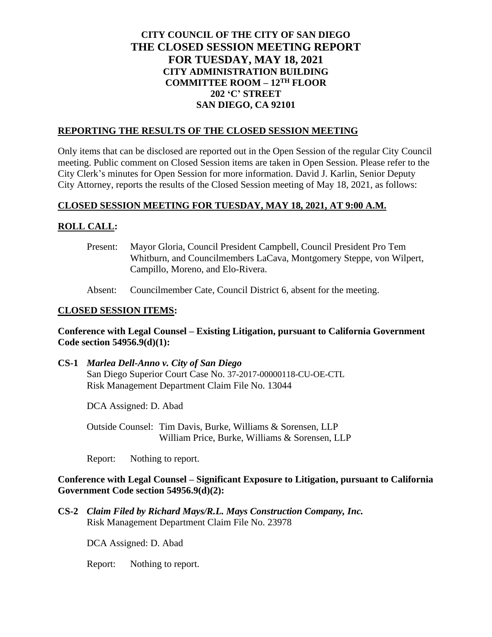# **CITY COUNCIL OF THE CITY OF SAN DIEGO THE CLOSED SESSION MEETING REPORT FOR TUESDAY, MAY 18, 2021 CITY ADMINISTRATION BUILDING COMMITTEE ROOM – 12TH FLOOR 202 'C' STREET SAN DIEGO, CA 92101**

### **REPORTING THE RESULTS OF THE CLOSED SESSION MEETING**

Only items that can be disclosed are reported out in the Open Session of the regular City Council meeting. Public comment on Closed Session items are taken in Open Session. Please refer to the City Clerk's minutes for Open Session for more information. David J. Karlin, Senior Deputy City Attorney, reports the results of the Closed Session meeting of May 18, 2021, as follows:

### **CLOSED SESSION MEETING FOR TUESDAY, MAY 18, 2021, AT 9:00 A.M.**

### **ROLL CALL:**

- Present: Mayor Gloria, Council President Campbell, Council President Pro Tem Whitburn, and Councilmembers LaCava, Montgomery Steppe, von Wilpert, Campillo, Moreno, and Elo-Rivera.
- Absent: Councilmember Cate, Council District 6, absent for the meeting.

#### **CLOSED SESSION ITEMS:**

#### **Conference with Legal Counsel – Existing Litigation, pursuant to California Government Code section 54956.9(d)(1):**

**CS-1** *Marlea Dell-Anno v. City of San Diego* San Diego Superior Court Case No. 37-2017-00000118-CU-OE-CTL Risk Management Department Claim File No. 13044

DCA Assigned: D. Abad

Outside Counsel: Tim Davis, Burke, Williams & Sorensen, LLP William Price, Burke, Williams & Sorensen, LLP

Report: Nothing to report.

## **Conference with Legal Counsel – Significant Exposure to Litigation, pursuant to California Government Code section 54956.9(d)(2):**

**CS-2** *Claim Filed by Richard Mays/R.L. Mays Construction Company, Inc.* Risk Management Department Claim File No. 23978

DCA Assigned: D. Abad

Report: Nothing to report.